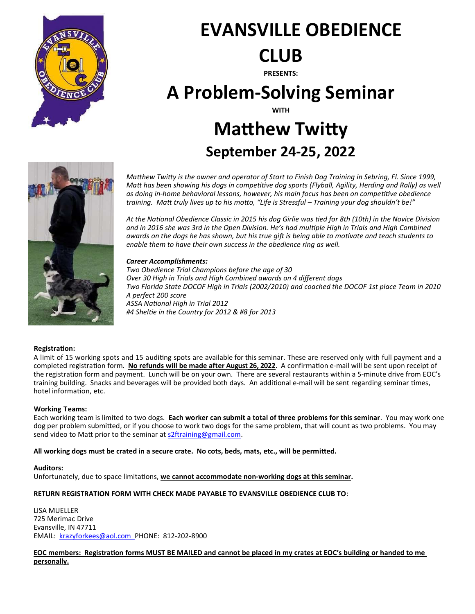

# EVANSVILLE OBEDIENCE CLUB

PRESENTS:

# A Problem-Solving Seminar

WITH

## **Matthew Twitty** September 24-25, 2022



Matthew Twitty is the owner and operator of Start to Finish Dog Training in Sebring, Fl. Since 1999, Matt has been showing his dogs in competitive dog sports (Flyball, Agility, Herding and Rally) as well as doing in-home behavioral lessons, however, his main focus has been on competitive obedience training. Matt truly lives up to his motto, "Life is Stressful – Training your dog shouldn't be!"

At the National Obedience Classic in 2015 his dog Girlie was tied for 8th (10th) in the Novice Division and in 2016 she was 3rd in the Open Division. He's had multiple High in Trials and High Combined awards on the dogs he has shown, but his true gift is being able to motivate and teach students to enable them to have their own success in the obedience ring as well.

#### Career Accomplishments:

Two Obedience Trial Champions before the age of 30 Over 30 High in Trials and High Combined awards on 4 different dogs Two Florida State DOCOF High in Trials (2002/2010) and coached the DOCOF 1st place Team in 2010 A perfect 200 score ASSA National High in Trial 2012 #4 Sheltie in the Country for 2012 & #8 for 2013

#### RegistraƟon:

A limit of 15 working spots and 15 auditing spots are available for this seminar. These are reserved only with full payment and a completed registration form. No refunds will be made after August 26, 2022. A confirmation e-mail will be sent upon receipt of the registration form and payment. Lunch will be on your own. There are several restaurants within a 5-minute drive from EOC's training building. Snacks and beverages will be provided both days. An additional e-mail will be sent regarding seminar times, hotel information, etc.

#### Working Teams:

Each working team is limited to two dogs. Each worker can submit a total of three problems for this seminar. You may work one dog per problem submitted, or if you choose to work two dogs for the same problem, that will count as two problems. You may send video to Matt prior to the seminar at s2ftraining@gmail.com.

### All working dogs must be crated in a secure crate. No cots, beds, mats, etc., will be permitted.

#### Auditors:

Unfortunately, due to space limitations, we cannot accommodate non-working dogs at this seminar.

### RETURN REGISTRATION FORM WITH CHECK MADE PAYABLE TO EVANSVILLE OBEDIENCE CLUB TO:

LISA MUELLER 725 Merimac Drive Evansville, IN 47711 EMAIL: krazyforkees@aol.com PHONE: 812-202-8900

EOC members: RegistraƟon forms MUST BE MAILED and cannot be placed in my crates at EOC's building or handed to me personally.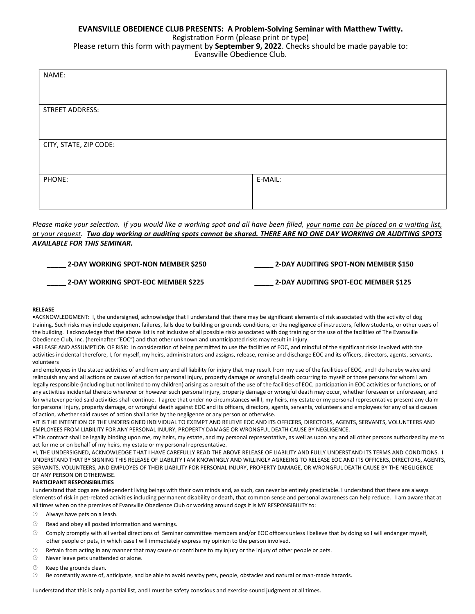### EVANSVILLE OBEDIENCE CLUB PRESENTS: A Problem-Solving Seminar with Matthew Twitty.

Registration Form (please print or type)

Please return this form with payment by September 9, 2022. Checks should be made payable to: Evansville Obedience Club.

| NAME:                  |         |  |
|------------------------|---------|--|
|                        |         |  |
| STREET ADDRESS:        |         |  |
|                        |         |  |
| CITY, STATE, ZIP CODE: |         |  |
|                        |         |  |
|                        |         |  |
| PHONE:                 | E-MAIL: |  |
|                        |         |  |

Please make your selection. If you would like a working spot and all have been filled, your name can be placed on a waiting list, at your request. Two day working or auditing spots cannot be shared. THERE ARE NO ONE DAY WORKING OR AUDITING SPOTS AVAILABLE FOR THIS SEMINAR.

| 2-DAY WORKING SPOT-NON MEMBER \$250 | 2-DAY AUDITING SPOT-NON MEMBER \$150 |
|-------------------------------------|--------------------------------------|
| 2-DAY WORKING SPOT-EOC MEMBER \$225 | 2-DAY AUDITING SPOT-EOC MEMBER \$125 |

#### RELEASE

•ACKNOWLEDGMENT: I, the undersigned, acknowledge that I understand that there may be significant elements of risk associated with the activity of dog training. Such risks may include equipment failures, falls due to building or grounds conditions, or the negligence of instructors, fellow students, or other users of the building. I acknowledge that the above list is not inclusive of all possible risks associated with dog training or the use of the facilities of The Evansville Obedience Club, Inc. (hereinafter "EOC") and that other unknown and unanticipated risks may result in injury.

•RELEASE AND ASSUMPTION OF RISK: In consideration of being permitted to use the facilities of EOC, and mindful of the significant risks involved with the activities incidental therefore, I, for myself, my heirs, administrators and assigns, release, remise and discharge EOC and its officers, directors, agents, servants, volunteers

and employees in the stated activities of and from any and all liability for injury that may result from my use of the facilities of EOC, and I do hereby waive and relinquish any and all actions or causes of action for personal injury, property damage or wrongful death occurring to myself or those persons for whom I am legally responsible (including but not limited to my children) arising as a result of the use of the facilities of EOC, participation in EOC activities or functions, or of any activities incidental thereto wherever or however such personal injury, property damage or wrongful death may occur, whether foreseen or unforeseen, and for whatever period said activities shall continue. I agree that under no circumstances will I, my heirs, my estate or my personal representative present any claim for personal injury, property damage, or wrongful death against EOC and its officers, directors, agents, servants, volunteers and employees for any of said causes of action, whether said causes of action shall arise by the negligence or any person or otherwise.

•IT IS THE INTENTION OF THE UNDERSIGNED INDIVIDUAL TO EXEMPT AND RELEIVE EOC AND ITS OFFICERS, DIRECTORS, AGENTS, SERVANTS, VOLUNTEERS AND EMPLOYEES FROM LIABILITY FOR ANY PERSONAL INJURY, PROPERTY DAMAGE OR WRONGFUL DEATH CAUSE BY NEGLIGENCE.

•This contract shall be legally binding upon me, my heirs, my estate, and my personal representative, as well as upon any and all other persons authorized by me to act for me or on behalf of my heirs, my estate or my personal representative.

•I, THE UNDERSIGNED, ACKNOWLEDGE THAT I HAVE CAREFULLY READ THE ABOVE RELEASE OF LIABILITY AND FULLY UNDERSTAND ITS TERMS AND CONDITIONS. I UNDERSTAND THAT BY SIGNING THIS RELEASE OF LIABILITY I AM KNOWINGLY AND WILLINGLY AGREEING TO RELEASE EOC AND ITS OFFICERS, DIRECTORS, AGENTS, SERVANTS, VOLUNTEERS, AND EMPLOYES OF THEIR LIABILITY FOR PERSONAL INJURY, PROPERTY DAMAGE, OR WRONGFUL DEATH CAUSE BY THE NEGLIGENCE OF ANY PERSON OR OTHERWISE.

#### PARTICIPANT RESPONSIBILITIES

I understand that dogs are independent living beings with their own minds and, as such, can never be entirely predictable. I understand that there are always elements of risk in pet-related activities including permanent disability or death, that common sense and personal awareness can help reduce. I am aware that at all times when on the premises of Evansville Obedience Club or working around dogs it is MY RESPONSIBILITY to:

- $\circledcirc$  Always have pets on a leash.
- $\circledR$  Read and obey all posted information and warnings.
- $\circledcirc$  Comply promptly with all verbal directions of Seminar committee members and/or EOC officers unless I believe that by doing so I will endanger myself, other people or pets, in which case I will immediately express my opinion to the person involved.
- Refrain from acting in any manner that may cause or contribute to my injury or the injury of other people or pets.
- Never leave pets unattended or alone.
- $\circledcirc$  Keep the grounds clean.
- Be constantly aware of, anticipate, and be able to avoid nearby pets, people, obstacles and natural or man-made hazards.

I understand that this is only a partial list, and I must be safety conscious and exercise sound judgment at all times.